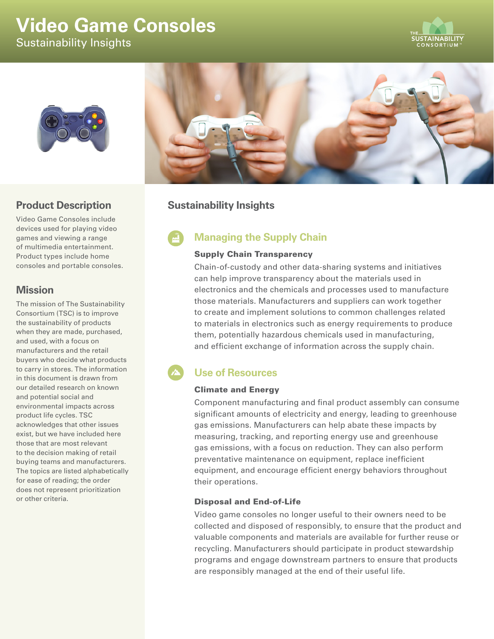# **Video Game Consoles**  Sustainability Insights





# **Product Description**

Video Game Consoles include devices used for playing video games and viewing a range of multimedia entertainment. Product types include home consoles and portable consoles.

## **Mission**

The mission of The Sustainability Consortium (TSC) is to improve the sustainability of products when they are made, purchased, and used, with a focus on manufacturers and the retail buyers who decide what products to carry in stores. The information in this document is drawn from our detailed research on known and potential social and environmental impacts across product life cycles. TSC acknowledges that other issues exist, but we have included here those that are most relevant to the decision making of retail buying teams and manufacturers. The topics are listed alphabetically for ease of reading; the order does not represent prioritization or other criteria.



# **Sustainability Insights**

# **Managing the Supply Chain**

## Supply Chain Transparency

Chain-of-custody and other data-sharing systems and initiatives can help improve transparency about the materials used in electronics and the chemicals and processes used to manufacture those materials. Manufacturers and suppliers can work together to create and implement solutions to common challenges related to materials in electronics such as energy requirements to produce them, potentially hazardous chemicals used in manufacturing, and efficient exchange of information across the supply chain.

# **Use of Resources**

## Climate and Energy

Component manufacturing and final product assembly can consume significant amounts of electricity and energy, leading to greenhouse gas emissions. Manufacturers can help abate these impacts by measuring, tracking, and reporting energy use and greenhouse gas emissions, with a focus on reduction. They can also perform preventative maintenance on equipment, replace inefficient equipment, and encourage efficient energy behaviors throughout their operations.

## Disposal and End-of-Life

Video game consoles no longer useful to their owners need to be collected and disposed of responsibly, to ensure that the product and valuable components and materials are available for further reuse or recycling. Manufacturers should participate in product stewardship programs and engage downstream partners to ensure that products are responsibly managed at the end of their useful life.